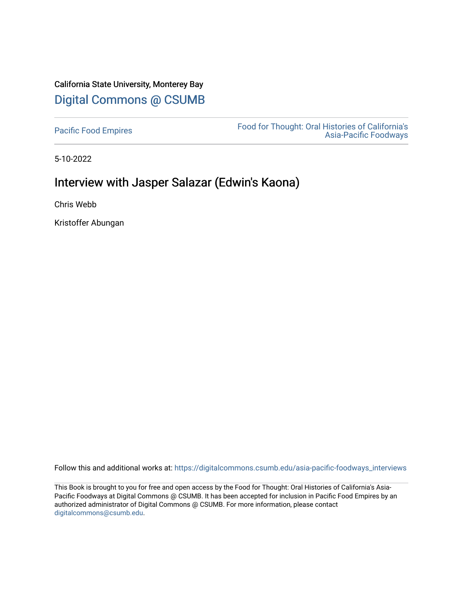# California State University, Monterey Bay [Digital Commons @ CSUMB](https://digitalcommons.csumb.edu/)

[Pacific Food Empires](https://digitalcommons.csumb.edu/asia-pacific-foodways_interviews) Food for Thought: Oral Histories of California's [Asia-Pacific Foodways](https://digitalcommons.csumb.edu/asia-pacific-foodways) 

5-10-2022

# Interview with Jasper Salazar (Edwin's Kaona)

Chris Webb

Kristoffer Abungan

Follow this and additional works at: [https://digitalcommons.csumb.edu/asia-pacific-foodways\\_interviews](https://digitalcommons.csumb.edu/asia-pacific-foodways_interviews?utm_source=digitalcommons.csumb.edu%2Fasia-pacific-foodways_interviews%2F20&utm_medium=PDF&utm_campaign=PDFCoverPages) 

This Book is brought to you for free and open access by the Food for Thought: Oral Histories of California's Asia-Pacific Foodways at Digital Commons @ CSUMB. It has been accepted for inclusion in Pacific Food Empires by an authorized administrator of Digital Commons @ CSUMB. For more information, please contact [digitalcommons@csumb.edu](mailto:digitalcommons@csumb.edu).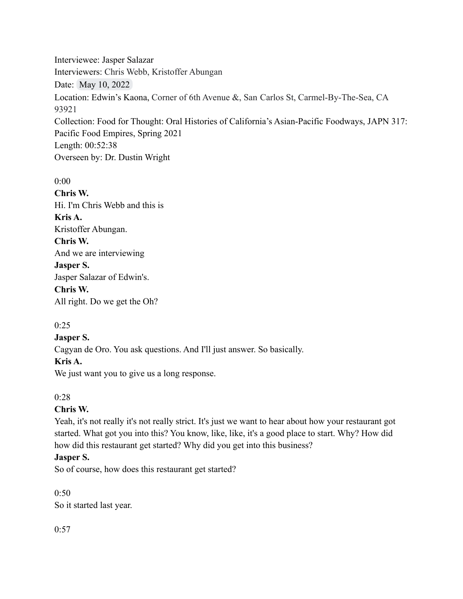Interviewee: Jasper Salazar Interviewers: Chris Webb, Kristoffer Abungan Date: May 10, 2022 Location: Edwin's Kaona, Corner of 6th Avenue &, San Carlos St, Carmel-By-The-Sea, CA 93921 Collection: Food for Thought: Oral Histories of California's Asian-Pacific Foodways, JAPN 317: Pacific Food Empires, Spring 2021 Length: 00:52:38 Overseen by: Dr. Dustin Wright

0:00 **Chris W.** Hi. I'm Chris Webb and this is **Kris A.** Kristoffer Abungan. **Chris W.** And we are interviewing **Jasper S.** Jasper Salazar of Edwin's. **Chris W.** All right. Do we get the Oh?

# $0:25$

#### **Jasper S.**

Cagyan de Oro. You ask questions. And I'll just answer. So basically.

#### **Kris A.**

We just want you to give us a long response.

# $0.28$

# **Chris W.**

Yeah, it's not really it's not really strict. It's just we want to hear about how your restaurant got started. What got you into this? You know, like, like, it's a good place to start. Why? How did how did this restaurant get started? Why did you get into this business?

# **Jasper S.**

So of course, how does this restaurant get started?

 $0.50$ So it started last year.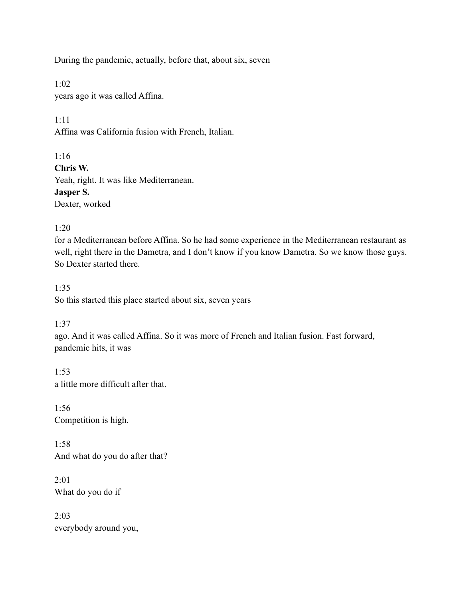During the pandemic, actually, before that, about six, seven

1:02 years ago it was called Affina.

1:11

Affina was California fusion with French, Italian.

1:16

**Chris W.**

Yeah, right. It was like Mediterranean. **Jasper S.** Dexter, worked

 $1:20$ 

for a Mediterranean before Affina. So he had some experience in the Mediterranean restaurant as well, right there in the Dametra, and I don't know if you know Dametra. So we know those guys. So Dexter started there.

1:35 So this started this place started about six, seven years

1:37

ago. And it was called Affina. So it was more of French and Italian fusion. Fast forward, pandemic hits, it was

1:53 a little more difficult after that.

1:56 Competition is high.

1:58 And what do you do after that?

 $2:01$ What do you do if

2:03 everybody around you,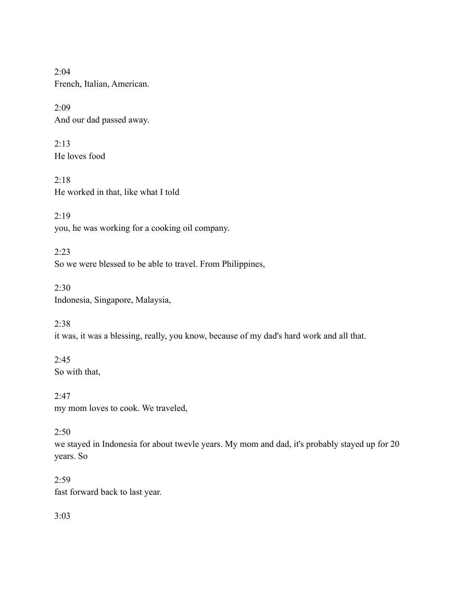2:04 French, Italian, American.

2:09 And our dad passed away.

2:13 He loves food

2:18 He worked in that, like what I told

2:19 you, he was working for a cooking oil company.

2:23 So we were blessed to be able to travel. From Philippines,

2:30 Indonesia, Singapore, Malaysia,

2:38 it was, it was a blessing, really, you know, because of my dad's hard work and all that.

2:45 So with that,

 $2:47$ my mom loves to cook. We traveled,

# 2:50

we stayed in Indonesia for about twevle years. My mom and dad, it's probably stayed up for 20 years. So

 $2:59$ fast forward back to last year.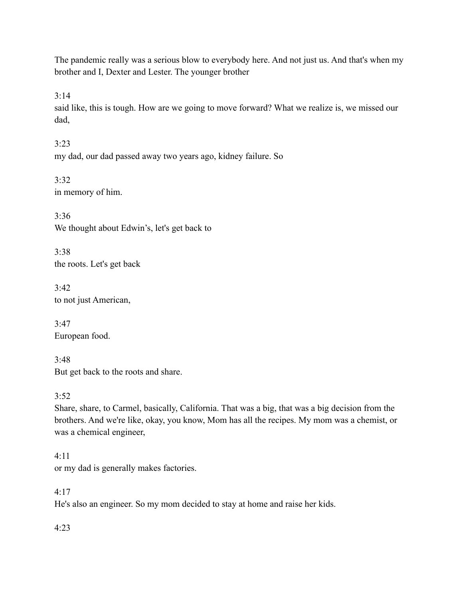The pandemic really was a serious blow to everybody here. And not just us. And that's when my brother and I, Dexter and Lester. The younger brother

 $3:14$ 

said like, this is tough. How are we going to move forward? What we realize is, we missed our dad,

3:23 my dad, our dad passed away two years ago, kidney failure. So

3:32 in memory of him.

3:36 We thought about Edwin's, let's get back to

3:38 the roots. Let's get back

3:42 to not just American,

 $3:47$ European food.

3:48 But get back to the roots and share.

 $3:52$ 

Share, share, to Carmel, basically, California. That was a big, that was a big decision from the brothers. And we're like, okay, you know, Mom has all the recipes. My mom was a chemist, or was a chemical engineer,

# 4:11

or my dad is generally makes factories.

# 4:17

He's also an engineer. So my mom decided to stay at home and raise her kids.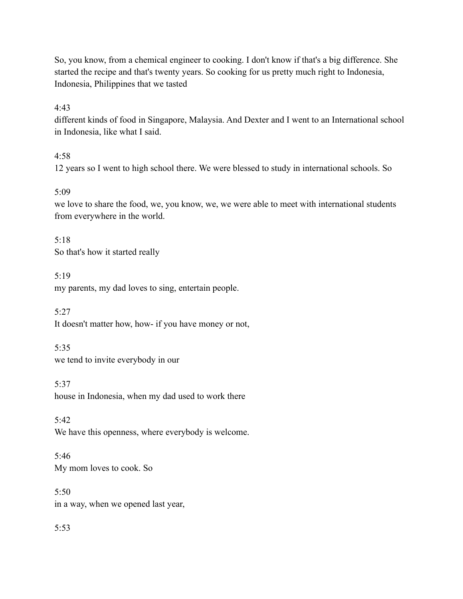So, you know, from a chemical engineer to cooking. I don't know if that's a big difference. She started the recipe and that's twenty years. So cooking for us pretty much right to Indonesia, Indonesia, Philippines that we tasted

# 4:43

different kinds of food in Singapore, Malaysia. And Dexter and I went to an International school in Indonesia, like what I said.

# $4.58$

12 years so I went to high school there. We were blessed to study in international schools. So

# 5:09

we love to share the food, we, you know, we, we were able to meet with international students from everywhere in the world.

5:18 So that's how it started really

5:19

my parents, my dad loves to sing, entertain people.

5:27

It doesn't matter how, how- if you have money or not,

5:35

we tend to invite everybody in our

5:37

house in Indonesia, when my dad used to work there

5:42 We have this openness, where everybody is welcome.

5:46 My mom loves to cook. So

5:50 in a way, when we opened last year,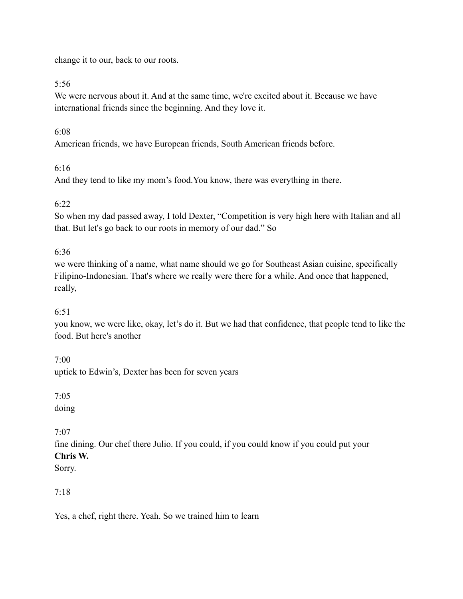change it to our, back to our roots.

# 5:56

We were nervous about it. And at the same time, we're excited about it. Because we have international friends since the beginning. And they love it.

# 6:08

American friends, we have European friends, South American friends before.

# 6:16

And they tend to like my mom's food.You know, there was everything in there.

# $6.22$

So when my dad passed away, I told Dexter, "Competition is very high here with Italian and all that. But let's go back to our roots in memory of our dad." So

# 6:36

we were thinking of a name, what name should we go for Southeast Asian cuisine, specifically Filipino-Indonesian. That's where we really were there for a while. And once that happened, really,

# 6:51

you know, we were like, okay, let's do it. But we had that confidence, that people tend to like the food. But here's another

# $7.00$

uptick to Edwin's, Dexter has been for seven years

# 7:05

doing

# $7.07$

fine dining. Our chef there Julio. If you could, if you could know if you could put your **Chris W.**

Sorry.

# 7:18

Yes, a chef, right there. Yeah. So we trained him to learn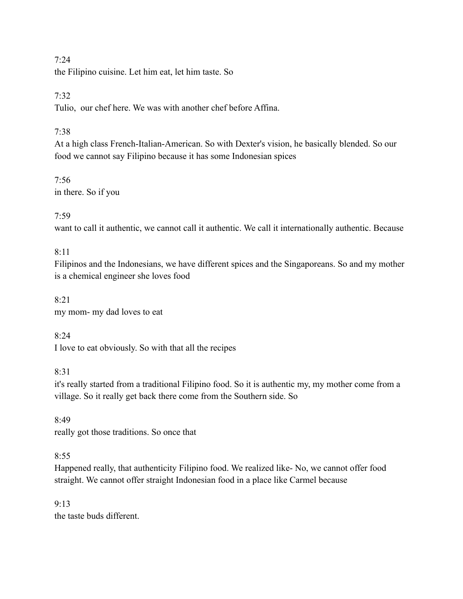#### $7.24$

the Filipino cuisine. Let him eat, let him taste. So

# 7:32

Tulio, our chef here. We was with another chef before Affina.

# 7:38

At a high class French-Italian-American. So with Dexter's vision, he basically blended. So our food we cannot say Filipino because it has some Indonesian spices

#### 7:56 in there. So if you

# 7:59

want to call it authentic, we cannot call it authentic. We call it internationally authentic. Because

# $8:11$

Filipinos and the Indonesians, we have different spices and the Singaporeans. So and my mother is a chemical engineer she loves food

# 8:21 my mom- my dad loves to eat

# 8:24

I love to eat obviously. So with that all the recipes

# 8:31

it's really started from a traditional Filipino food. So it is authentic my, my mother come from a village. So it really get back there come from the Southern side. So

8:49 really got those traditions. So once that

# $8:55$

Happened really, that authenticity Filipino food. We realized like- No, we cannot offer food straight. We cannot offer straight Indonesian food in a place like Carmel because

#### $9.13$ the taste buds different.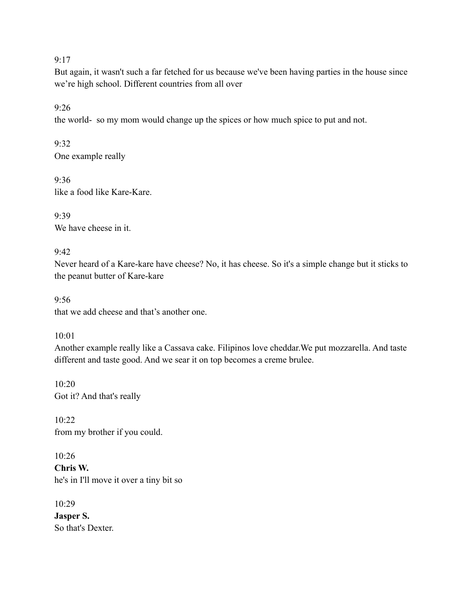#### $9.17$

But again, it wasn't such a far fetched for us because we've been having parties in the house since we're high school. Different countries from all over

9:26

the world- so my mom would change up the spices or how much spice to put and not.

9:32 One example really

9:36 like a food like Kare-Kare.

9:39 We have cheese in it.

 $9.42$ 

Never heard of a Kare-kare have cheese? No, it has cheese. So it's a simple change but it sticks to the peanut butter of Kare-kare

 $9.56$ that we add cheese and that's another one.

10:01

Another example really like a Cassava cake. Filipinos love cheddar.We put mozzarella. And taste different and taste good. And we sear it on top becomes a creme brulee.

10:20 Got it? And that's really

10:22 from my brother if you could.

 $10.26$ **Chris W.** he's in I'll move it over a tiny bit so

10:29 **Jasper S.** So that's Dexter.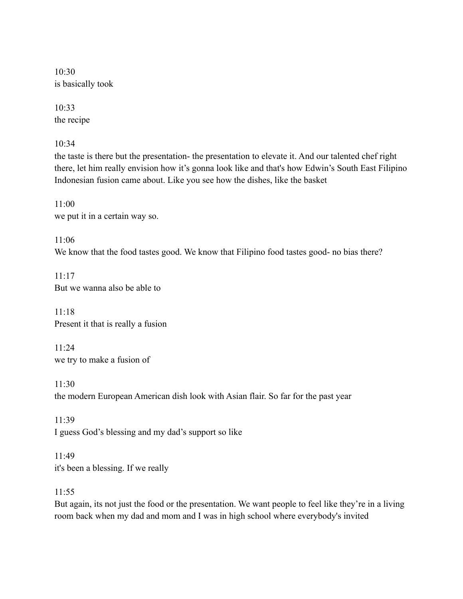10:30 is basically took

10:33 the recipe

 $10.34$ 

the taste is there but the presentation- the presentation to elevate it. And our talented chef right there, let him really envision how it's gonna look like and that's how Edwin's South East Filipino Indonesian fusion came about. Like you see how the dishes, like the basket

11:00 we put it in a certain way so.

11:06 We know that the food tastes good. We know that Filipino food tastes good- no bias there?

 $11:17$ But we wanna also be able to

11:18 Present it that is really a fusion

11:24 we try to make a fusion of

11:30 the modern European American dish look with Asian flair. So far for the past year

11:39 I guess God's blessing and my dad's support so like

11:49 it's been a blessing. If we really

11:55

But again, its not just the food or the presentation. We want people to feel like they're in a living room back when my dad and mom and I was in high school where everybody's invited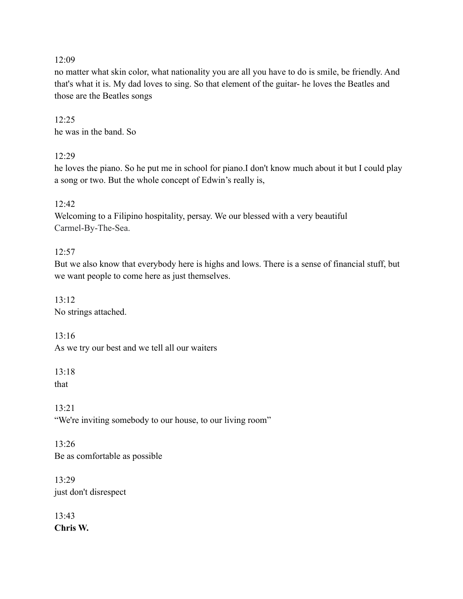#### $12.09$

no matter what skin color, what nationality you are all you have to do is smile, be friendly. And that's what it is. My dad loves to sing. So that element of the guitar- he loves the Beatles and those are the Beatles songs

#### 12:25 he was in the band. So

# $12.29$

he loves the piano. So he put me in school for piano.I don't know much about it but I could play a song or two. But the whole concept of Edwin's really is,

# 12:42

Welcoming to a Filipino hospitality, persay. We our blessed with a very beautiful Carmel-By-The-Sea.

# $12:57$

But we also know that everybody here is highs and lows. There is a sense of financial stuff, but we want people to come here as just themselves.

13:12 No strings attached.

13:16 As we try our best and we tell all our waiters

 $13.18$ that

13:21 "We're inviting somebody to our house, to our living room"

13:26 Be as comfortable as possible

 $13.29$ just don't disrespect

13:43 **Chris W.**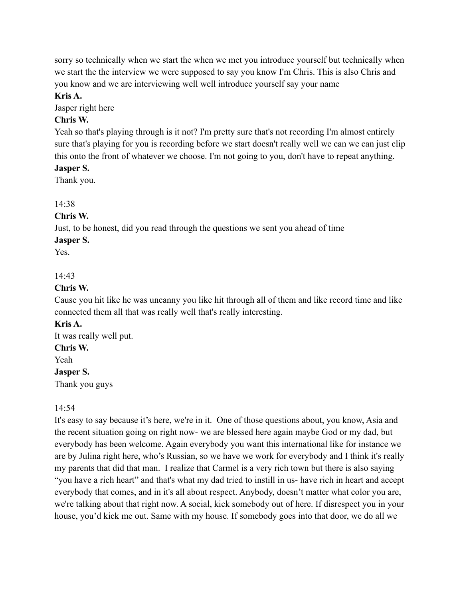sorry so technically when we start the when we met you introduce yourself but technically when we start the the interview we were supposed to say you know I'm Chris. This is also Chris and you know and we are interviewing well well introduce yourself say your name

#### **Kris A.**

Jasper right here

# **Chris W.**

Yeah so that's playing through is it not? I'm pretty sure that's not recording I'm almost entirely sure that's playing for you is recording before we start doesn't really well we can we can just clip this onto the front of whatever we choose. I'm not going to you, don't have to repeat anything.

# **Jasper S.**

Thank you.

# 14:38

# **Chris W.**

Just, to be honest, did you read through the questions we sent you ahead of time

# **Jasper S.**

Yes.

# 14:43

#### **Chris W.**

Cause you hit like he was uncanny you like hit through all of them and like record time and like connected them all that was really well that's really interesting.

#### **Kris A.**

It was really well put. **Chris W.** Yeah **Jasper S.** Thank you guys

#### 14:54

It's easy to say because it's here, we're in it. One of those questions about, you know, Asia and the recent situation going on right now- we are blessed here again maybe God or my dad, but everybody has been welcome. Again everybody you want this international like for instance we are by Julina right here, who's Russian, so we have we work for everybody and I think it's really my parents that did that man. I realize that Carmel is a very rich town but there is also saying "you have a rich heart" and that's what my dad tried to instill in us- have rich in heart and accept everybody that comes, and in it's all about respect. Anybody, doesn't matter what color you are, we're talking about that right now. A social, kick somebody out of here. If disrespect you in your house, you'd kick me out. Same with my house. If somebody goes into that door, we do all we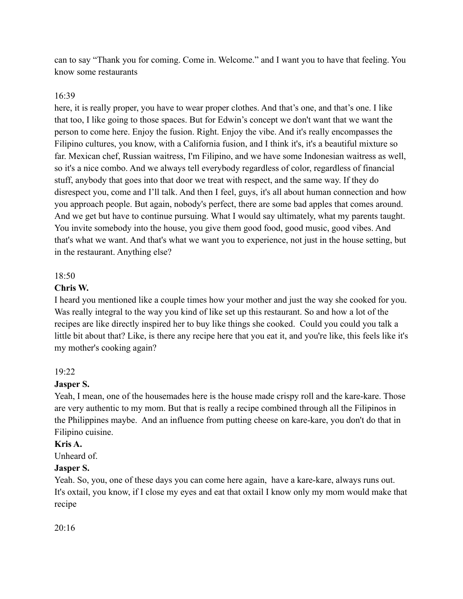can to say "Thank you for coming. Come in. Welcome." and I want you to have that feeling. You know some restaurants

#### 16:39

here, it is really proper, you have to wear proper clothes. And that's one, and that's one. I like that too, I like going to those spaces. But for Edwin's concept we don't want that we want the person to come here. Enjoy the fusion. Right. Enjoy the vibe. And it's really encompasses the Filipino cultures, you know, with a California fusion, and I think it's, it's a beautiful mixture so far. Mexican chef, Russian waitress, I'm Filipino, and we have some Indonesian waitress as well, so it's a nice combo. And we always tell everybody regardless of color, regardless of financial stuff, anybody that goes into that door we treat with respect, and the same way. If they do disrespect you, come and I'll talk. And then I feel, guys, it's all about human connection and how you approach people. But again, nobody's perfect, there are some bad apples that comes around. And we get but have to continue pursuing. What I would say ultimately, what my parents taught. You invite somebody into the house, you give them good food, good music, good vibes. And that's what we want. And that's what we want you to experience, not just in the house setting, but in the restaurant. Anything else?

#### 18:50

#### **Chris W.**

I heard you mentioned like a couple times how your mother and just the way she cooked for you. Was really integral to the way you kind of like set up this restaurant. So and how a lot of the recipes are like directly inspired her to buy like things she cooked. Could you could you talk a little bit about that? Like, is there any recipe here that you eat it, and you're like, this feels like it's my mother's cooking again?

#### 19:22

# **Jasper S.**

Yeah, I mean, one of the housemades here is the house made crispy roll and the kare-kare. Those are very authentic to my mom. But that is really a recipe combined through all the Filipinos in the Philippines maybe. And an influence from putting cheese on kare-kare, you don't do that in Filipino cuisine.

#### **Kris A.**

Unheard of.

# **Jasper S.**

Yeah. So, you, one of these days you can come here again, have a kare-kare, always runs out. It's oxtail, you know, if I close my eyes and eat that oxtail I know only my mom would make that recipe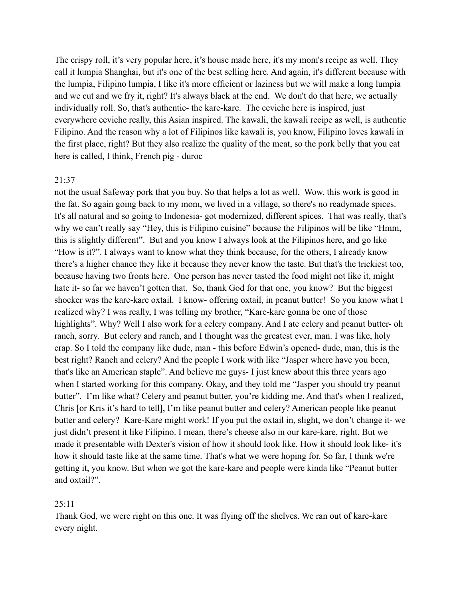The crispy roll, it's very popular here, it's house made here, it's my mom's recipe as well. They call it lumpia Shanghai, but it's one of the best selling here. And again, it's different because with the lumpia, Filipino lumpia, I like it's more efficient or laziness but we will make a long lumpia and we cut and we fry it, right? It's always black at the end. We don't do that here, we actually individually roll. So, that's authentic- the kare-kare. The ceviche here is inspired, just everywhere ceviche really, this Asian inspired. The kawali, the kawali recipe as well, is authentic Filipino. And the reason why a lot of Filipinos like kawali is, you know, Filipino loves kawali in the first place, right? But they also realize the quality of the meat, so the pork belly that you eat here is called, I think, French pig - duroc

#### 21:37

not the usual Safeway pork that you buy. So that helps a lot as well. Wow, this work is good in the fat. So again going back to my mom, we lived in a village, so there's no readymade spices. It's all natural and so going to Indonesia- got modernized, different spices. That was really, that's why we can't really say "Hey, this is Filipino cuisine" because the Filipinos will be like "Hmm, this is slightly different". But and you know I always look at the Filipinos here, and go like "How is it?". I always want to know what they think because, for the others, I already know there's a higher chance they like it because they never know the taste. But that's the trickiest too, because having two fronts here. One person has never tasted the food might not like it, might hate it- so far we haven't gotten that. So, thank God for that one, you know? But the biggest shocker was the kare-kare oxtail. I know- offering oxtail, in peanut butter! So you know what I realized why? I was really, I was telling my brother, "Kare-kare gonna be one of those highlights". Why? Well I also work for a celery company. And I ate celery and peanut butter- oh ranch, sorry. But celery and ranch, and I thought was the greatest ever, man. I was like, holy crap. So I told the company like dude, man - this before Edwin's opened- dude, man, this is the best right? Ranch and celery? And the people I work with like "Jasper where have you been, that's like an American staple". And believe me guys- I just knew about this three years ago when I started working for this company. Okay, and they told me "Jasper you should try peanut butter". I'm like what? Celery and peanut butter, you're kidding me. And that's when I realized, Chris [or Kris it's hard to tell], I'm like peanut butter and celery? American people like peanut butter and celery? Kare-Kare might work! If you put the oxtail in, slight, we don't change it- we just didn't present it like Filipino. I mean, there's cheese also in our kare-kare, right. But we made it presentable with Dexter's vision of how it should look like. How it should look like- it's how it should taste like at the same time. That's what we were hoping for. So far, I think we're getting it, you know. But when we got the kare-kare and people were kinda like "Peanut butter and oxtail?".

#### 25:11

Thank God, we were right on this one. It was flying off the shelves. We ran out of kare-kare every night.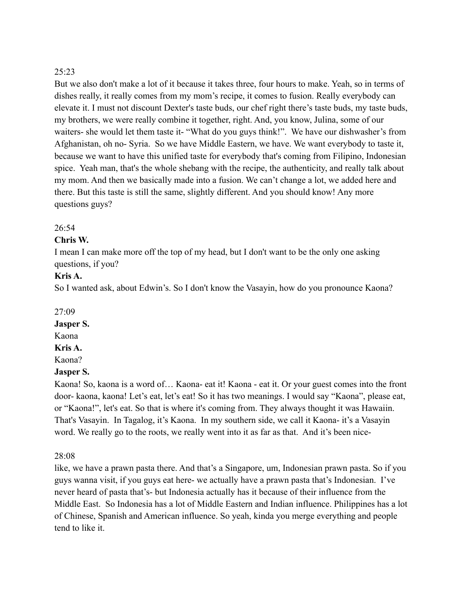But we also don't make a lot of it because it takes three, four hours to make. Yeah, so in terms of dishes really, it really comes from my mom's recipe, it comes to fusion. Really everybody can elevate it. I must not discount Dexter's taste buds, our chef right there's taste buds, my taste buds, my brothers, we were really combine it together, right. And, you know, Julina, some of our waiters- she would let them taste it- "What do you guys think!". We have our dishwasher's from Afghanistan, oh no- Syria. So we have Middle Eastern, we have. We want everybody to taste it, because we want to have this unified taste for everybody that's coming from Filipino, Indonesian spice. Yeah man, that's the whole shebang with the recipe, the authenticity, and really talk about my mom. And then we basically made into a fusion. We can't change a lot, we added here and there. But this taste is still the same, slightly different. And you should know! Any more questions guys?

#### $26:54$

#### **Chris W.**

I mean I can make more off the top of my head, but I don't want to be the only one asking questions, if you?

#### **Kris A.**

So I wanted ask, about Edwin's. So I don't know the Vasayin, how do you pronounce Kaona?

#### 27:09

#### **Jasper S.**

Kaona

#### **Kris A.**

Kaona?

#### **Jasper S.**

Kaona! So, kaona is a word of… Kaona- eat it! Kaona - eat it. Or your guest comes into the front door- kaona, kaona! Let's eat, let's eat! So it has two meanings. I would say "Kaona", please eat, or "Kaona!", let's eat. So that is where it's coming from. They always thought it was Hawaiin. That's Vasayin. In Tagalog, it's Kaona. In my southern side, we call it Kaona- it's a Vasayin word. We really go to the roots, we really went into it as far as that. And it's been nice-

#### 28:08

like, we have a prawn pasta there. And that's a Singapore, um, Indonesian prawn pasta. So if you guys wanna visit, if you guys eat here- we actually have a prawn pasta that's Indonesian. I've never heard of pasta that's- but Indonesia actually has it because of their influence from the Middle East. So Indonesia has a lot of Middle Eastern and Indian influence. Philippines has a lot of Chinese, Spanish and American influence. So yeah, kinda you merge everything and people tend to like it.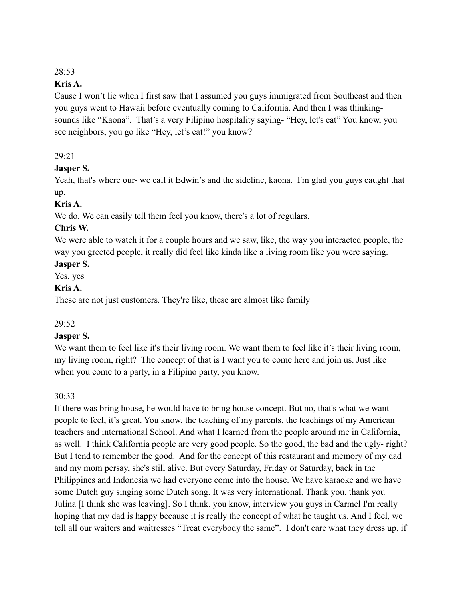#### **Kris A.**

Cause I won't lie when I first saw that I assumed you guys immigrated from Southeast and then you guys went to Hawaii before eventually coming to California. And then I was thinkingsounds like "Kaona". That's a very Filipino hospitality saying- "Hey, let's eat" You know, you see neighbors, you go like "Hey, let's eat!" you know?

#### 29:21

#### **Jasper S.**

Yeah, that's where our- we call it Edwin's and the sideline, kaona. I'm glad you guys caught that up.

#### **Kris A.**

We do. We can easily tell them feel you know, there's a lot of regulars.

#### **Chris W.**

We were able to watch it for a couple hours and we saw, like, the way you interacted people, the way you greeted people, it really did feel like kinda like a living room like you were saying.

#### **Jasper S.**

Yes, yes

#### **Kris A.**

These are not just customers. They're like, these are almost like family

# 29:52

#### **Jasper S.**

We want them to feel like it's their living room. We want them to feel like it's their living room, my living room, right? The concept of that is I want you to come here and join us. Just like when you come to a party, in a Filipino party, you know.

# 30:33

If there was bring house, he would have to bring house concept. But no, that's what we want people to feel, it's great. You know, the teaching of my parents, the teachings of my American teachers and international School. And what I learned from the people around me in California, as well. I think California people are very good people. So the good, the bad and the ugly- right? But I tend to remember the good. And for the concept of this restaurant and memory of my dad and my mom persay, she's still alive. But every Saturday, Friday or Saturday, back in the Philippines and Indonesia we had everyone come into the house. We have karaoke and we have some Dutch guy singing some Dutch song. It was very international. Thank you, thank you Julina [I think she was leaving]. So I think, you know, interview you guys in Carmel I'm really hoping that my dad is happy because it is really the concept of what he taught us. And I feel, we tell all our waiters and waitresses "Treat everybody the same". I don't care what they dress up, if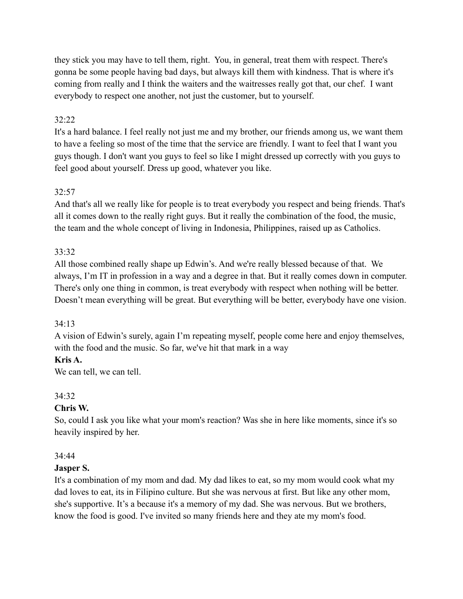they stick you may have to tell them, right. You, in general, treat them with respect. There's gonna be some people having bad days, but always kill them with kindness. That is where it's coming from really and I think the waiters and the waitresses really got that, our chef. I want everybody to respect one another, not just the customer, but to yourself.

# 32:22

It's a hard balance. I feel really not just me and my brother, our friends among us, we want them to have a feeling so most of the time that the service are friendly. I want to feel that I want you guys though. I don't want you guys to feel so like I might dressed up correctly with you guys to feel good about yourself. Dress up good, whatever you like.

# 32:57

And that's all we really like for people is to treat everybody you respect and being friends. That's all it comes down to the really right guys. But it really the combination of the food, the music, the team and the whole concept of living in Indonesia, Philippines, raised up as Catholics.

# 33:32

All those combined really shape up Edwin's. And we're really blessed because of that. We always, I'm IT in profession in a way and a degree in that. But it really comes down in computer. There's only one thing in common, is treat everybody with respect when nothing will be better. Doesn't mean everything will be great. But everything will be better, everybody have one vision.

# 34:13

A vision of Edwin's surely, again I'm repeating myself, people come here and enjoy themselves, with the food and the music. So far, we've hit that mark in a way

# **Kris A.**

We can tell, we can tell.

# 34:32

# **Chris W.**

So, could I ask you like what your mom's reaction? Was she in here like moments, since it's so heavily inspired by her.

# 34:44

# **Jasper S.**

It's a combination of my mom and dad. My dad likes to eat, so my mom would cook what my dad loves to eat, its in Filipino culture. But she was nervous at first. But like any other mom, she's supportive. It's a because it's a memory of my dad. She was nervous. But we brothers, know the food is good. I've invited so many friends here and they ate my mom's food.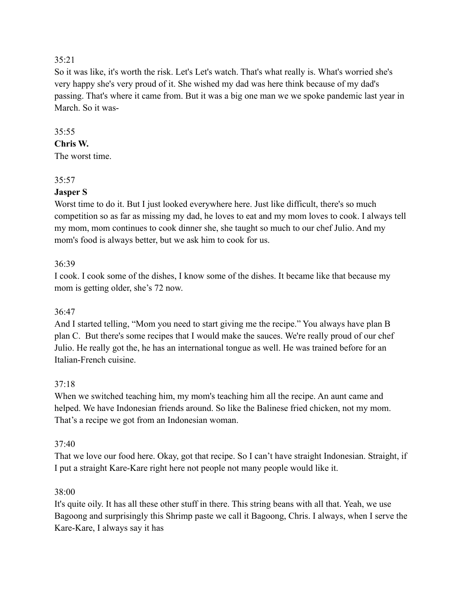# $35.21$

So it was like, it's worth the risk. Let's Let's watch. That's what really is. What's worried she's very happy she's very proud of it. She wished my dad was here think because of my dad's passing. That's where it came from. But it was a big one man we we spoke pandemic last year in March. So it was-

## $35:55$

#### **Chris W.**

The worst time.

#### 35:57

# **Jasper S**

Worst time to do it. But I just looked everywhere here. Just like difficult, there's so much competition so as far as missing my dad, he loves to eat and my mom loves to cook. I always tell my mom, mom continues to cook dinner she, she taught so much to our chef Julio. And my mom's food is always better, but we ask him to cook for us.

#### 36:39

I cook. I cook some of the dishes, I know some of the dishes. It became like that because my mom is getting older, she's 72 now.

# 36:47

And I started telling, "Mom you need to start giving me the recipe." You always have plan B plan C. But there's some recipes that I would make the sauces. We're really proud of our chef Julio. He really got the, he has an international tongue as well. He was trained before for an Italian-French cuisine.

# 37:18

When we switched teaching him, my mom's teaching him all the recipe. An aunt came and helped. We have Indonesian friends around. So like the Balinese fried chicken, not my mom. That's a recipe we got from an Indonesian woman.

#### 37:40

That we love our food here. Okay, got that recipe. So I can't have straight Indonesian. Straight, if I put a straight Kare-Kare right here not people not many people would like it.

#### 38:00

It's quite oily. It has all these other stuff in there. This string beans with all that. Yeah, we use Bagoong and surprisingly this Shrimp paste we call it Bagoong, Chris. I always, when I serve the Kare-Kare, I always say it has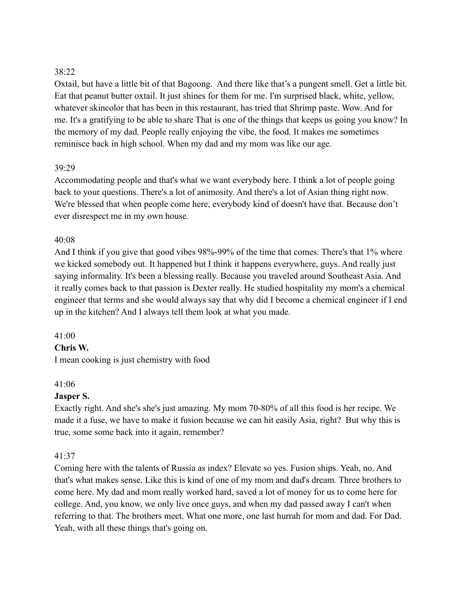Oxtail, but have a little bit of that Bagoong. And there like that's a pungent smell. Get a little bit. Eat that peanut butter oxtail. It just shines for them for me. I'm surprised black, white, yellow, whatever skincolor that has been in this restaurant, has tried that Shrimp paste. Wow. And for me. It's a gratifying to be able to share That is one of the things that keeps us going you know? In the memory of my dad. People really enjoying the vibe, the food. It makes me sometimes reminisce back in high school. When my dad and my mom was like our age.

#### 39:29

Accommodating people and that's what we want everybody here. I think a lot of people going back to your questions. There's a lot of animosity. And there's a lot of Asian thing right now. We're blessed that when people come here, everybody kind of doesn't have that. Because don't ever disrespect me in my own house.

#### 40:08

And I think if you give that good vibes 98%-99% of the time that comes. There's that 1% where we kicked somebody out. It happened but I think it happens everywhere, guys. And really just saying informality. It's been a blessing really. Because you traveled around Southeast Asia. And it really comes back to that passion is Dexter really. He studied hospitality my mom's a chemical engineer that terms and she would always say that why did I become a chemical engineer if I end up in the kitchen? And I always tell them look at what you made.

#### 41:00

#### **Chris W.**

I mean cooking is just chemistry with food

#### 41:06

#### **Jasper S.**

Exactly right. And she's she's just amazing. My mom 70-80% of all this food is her recipe. We made it a fuse, we have to make it fusion because we can hit easily Asia, right? But why this is true, some some back into it again, remember?

#### 41:37

Coming here with the talents of Russia as index? Elevate so yes. Fusion ships. Yeah, no. And that's what makes sense. Like this is kind of one of my mom and dad's dream. Three brothers to come here. My dad and mom really worked hard, saved a lot of money for us to come here for college. And, you know, we only live once guys, and when my dad passed away I can't when referring to that. The brothers meet. What one more, one last hurrah for mom and dad. For Dad. Yeah, with all these things that's going on.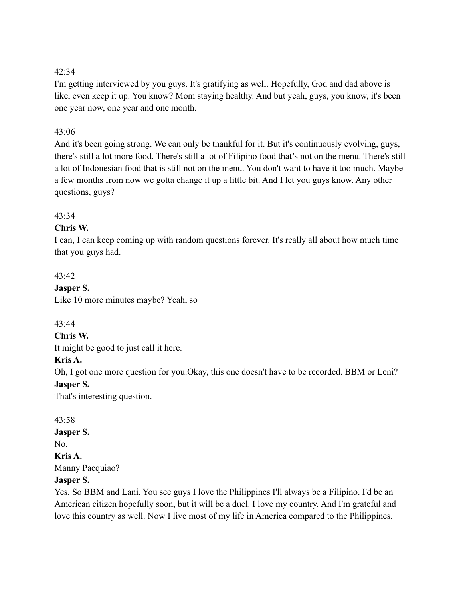I'm getting interviewed by you guys. It's gratifying as well. Hopefully, God and dad above is like, even keep it up. You know? Mom staying healthy. And but yeah, guys, you know, it's been one year now, one year and one month.

#### $43.06$

And it's been going strong. We can only be thankful for it. But it's continuously evolving, guys, there's still a lot more food. There's still a lot of Filipino food that's not on the menu. There's still a lot of Indonesian food that is still not on the menu. You don't want to have it too much. Maybe a few months from now we gotta change it up a little bit. And I let you guys know. Any other questions, guys?

#### $43.34$

#### **Chris W.**

I can, I can keep coming up with random questions forever. It's really all about how much time that you guys had.

#### 43:42

# **Jasper S.**

Like 10 more minutes maybe? Yeah, so

#### 43:44

#### **Chris W.**

It might be good to just call it here.

#### **Kris A.**

Oh, I got one more question for you.Okay, this one doesn't have to be recorded. BBM or Leni? **Jasper S.**

That's interesting question.

## 43:58

#### **Jasper S.**

No.

**Kris A.**

Manny Pacquiao?

#### **Jasper S.**

Yes. So BBM and Lani. You see guys I love the Philippines I'll always be a Filipino. I'd be an American citizen hopefully soon, but it will be a duel. I love my country. And I'm grateful and love this country as well. Now I live most of my life in America compared to the Philippines.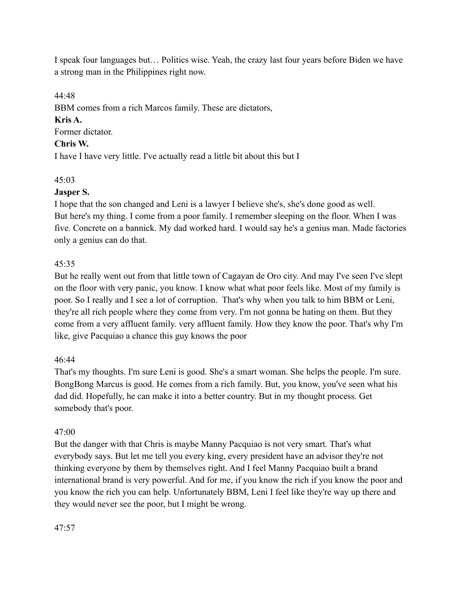I speak four languages but… Politics wise. Yeah, the crazy last four years before Biden we have a strong man in the Philippines right now.

44:48

BBM comes from a rich Marcos family. These are dictators,

# **Kris A.**

Former dictator.

# **Chris W.**

I have I have very little. I've actually read a little bit about this but I

# 45:03

# **Jasper S.**

I hope that the son changed and Leni is a lawyer I believe she's, she's done good as well. But here's my thing. I come from a poor family. I remember sleeping on the floor. When I was five. Concrete on a bannick. My dad worked hard. I would say he's a genius man. Made factories only a genius can do that.

# 45:35

But he really went out from that little town of Cagayan de Oro city. And may I've seen I've slept on the floor with very panic, you know. I know what what poor feels like. Most of my family is poor. So I really and I see a lot of corruption. That's why when you talk to him BBM or Leni, they're all rich people where they come from very. I'm not gonna be hating on them. But they come from a very affluent family. very affluent family. How they know the poor. That's why I'm like, give Pacquiao a chance this guy knows the poor

# 46:44

That's my thoughts. I'm sure Leni is good. She's a smart woman. She helps the people. I'm sure. BongBong Marcus is good. He comes from a rich family. But, you know, you've seen what his dad did. Hopefully, he can make it into a better country. But in my thought process. Get somebody that's poor.

# 47:00

But the danger with that Chris is maybe Manny Pacquiao is not very smart. That's what everybody says. But let me tell you every king, every president have an advisor they're not thinking everyone by them by themselves right. And I feel Manny Pacquiao built a brand international brand is very powerful. And for me, if you know the rich if you know the poor and you know the rich you can help. Unfortunately BBM, Leni I feel like they're way up there and they would never see the poor, but I might be wrong.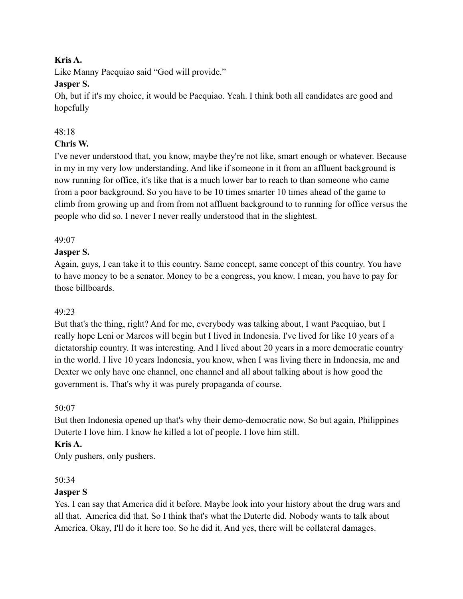## **Kris A.**

Like Manny Pacquiao said "God will provide."

# **Jasper S.**

Oh, but if it's my choice, it would be Pacquiao. Yeah. I think both all candidates are good and hopefully

# 48:18

# **Chris W.**

I've never understood that, you know, maybe they're not like, smart enough or whatever. Because in my in my very low understanding. And like if someone in it from an affluent background is now running for office, it's like that is a much lower bar to reach to than someone who came from a poor background. So you have to be 10 times smarter 10 times ahead of the game to climb from growing up and from from not affluent background to to running for office versus the people who did so. I never I never really understood that in the slightest.

# 49:07

# **Jasper S.**

Again, guys, I can take it to this country. Same concept, same concept of this country. You have to have money to be a senator. Money to be a congress, you know. I mean, you have to pay for those billboards.

# 49:23

But that's the thing, right? And for me, everybody was talking about, I want Pacquiao, but I really hope Leni or Marcos will begin but I lived in Indonesia. I've lived for like 10 years of a dictatorship country. It was interesting. And I lived about 20 years in a more democratic country in the world. I live 10 years Indonesia, you know, when I was living there in Indonesia, me and Dexter we only have one channel, one channel and all about talking about is how good the government is. That's why it was purely propaganda of course.

# 50:07

But then Indonesia opened up that's why their demo-democratic now. So but again, Philippines Duterte I love him. I know he killed a lot of people. I love him still.

# **Kris A.**

Only pushers, only pushers.

# $50.34$

# **Jasper S**

Yes. I can say that America did it before. Maybe look into your history about the drug wars and all that. America did that. So I think that's what the Duterte did. Nobody wants to talk about America. Okay, I'll do it here too. So he did it. And yes, there will be collateral damages.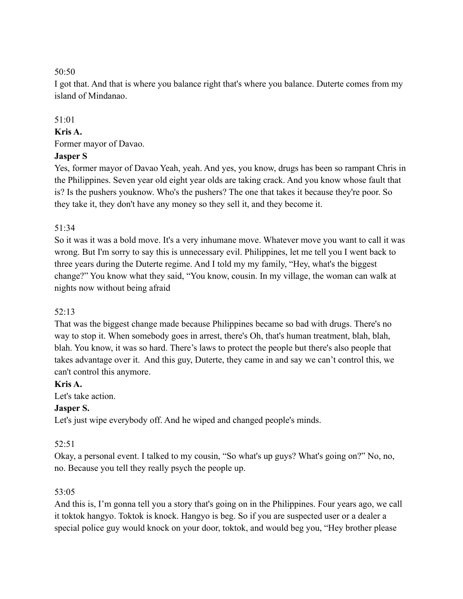I got that. And that is where you balance right that's where you balance. Duterte comes from my island of Mindanao.

# 51:01

#### **Kris A.**

Former mayor of Davao.

# **Jasper S**

Yes, former mayor of Davao Yeah, yeah. And yes, you know, drugs has been so rampant Chris in the Philippines. Seven year old eight year olds are taking crack. And you know whose fault that is? Is the pushers youknow. Who's the pushers? The one that takes it because they're poor. So they take it, they don't have any money so they sell it, and they become it.

# 51:34

So it was it was a bold move. It's a very inhumane move. Whatever move you want to call it was wrong. But I'm sorry to say this is unnecessary evil. Philippines, let me tell you I went back to three years during the Duterte regime. And I told my my family, "Hey, what's the biggest change?" You know what they said, "You know, cousin. In my village, the woman can walk at nights now without being afraid

# 52:13

That was the biggest change made because Philippines became so bad with drugs. There's no way to stop it. When somebody goes in arrest, there's Oh, that's human treatment, blah, blah, blah. You know, it was so hard. There's laws to protect the people but there's also people that takes advantage over it. And this guy, Duterte, they came in and say we can't control this, we can't control this anymore.

# **Kris A.**

Let's take action.

# **Jasper S.**

Let's just wipe everybody off. And he wiped and changed people's minds.

# 52:51

Okay, a personal event. I talked to my cousin, "So what's up guys? What's going on?" No, no, no. Because you tell they really psych the people up.

# 53:05

And this is, I'm gonna tell you a story that's going on in the Philippines. Four years ago, we call it toktok hangyo. Toktok is knock. Hangyo is beg. So if you are suspected user or a dealer a special police guy would knock on your door, toktok, and would beg you, "Hey brother please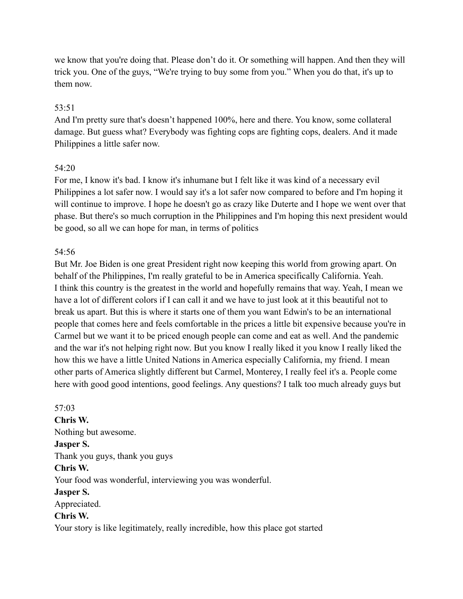we know that you're doing that. Please don't do it. Or something will happen. And then they will trick you. One of the guys, "We're trying to buy some from you." When you do that, it's up to them now.

#### 53:51

And I'm pretty sure that's doesn't happened 100%, here and there. You know, some collateral damage. But guess what? Everybody was fighting cops are fighting cops, dealers. And it made Philippines a little safer now.

#### 54:20

For me, I know it's bad. I know it's inhumane but I felt like it was kind of a necessary evil Philippines a lot safer now. I would say it's a lot safer now compared to before and I'm hoping it will continue to improve. I hope he doesn't go as crazy like Duterte and I hope we went over that phase. But there's so much corruption in the Philippines and I'm hoping this next president would be good, so all we can hope for man, in terms of politics

#### 54:56

But Mr. Joe Biden is one great President right now keeping this world from growing apart. On behalf of the Philippines, I'm really grateful to be in America specifically California. Yeah. I think this country is the greatest in the world and hopefully remains that way. Yeah, I mean we have a lot of different colors if I can call it and we have to just look at it this beautiful not to break us apart. But this is where it starts one of them you want Edwin's to be an international people that comes here and feels comfortable in the prices a little bit expensive because you're in Carmel but we want it to be priced enough people can come and eat as well. And the pandemic and the war it's not helping right now. But you know I really liked it you know I really liked the how this we have a little United Nations in America especially California, my friend. I mean other parts of America slightly different but Carmel, Monterey, I really feel it's a. People come here with good good intentions, good feelings. Any questions? I talk too much already guys but

57:03 **Chris W.** Nothing but awesome. **Jasper S.** Thank you guys, thank you guys **Chris W.** Your food was wonderful, interviewing you was wonderful. **Jasper S.** Appreciated. **Chris W.** Your story is like legitimately, really incredible, how this place got started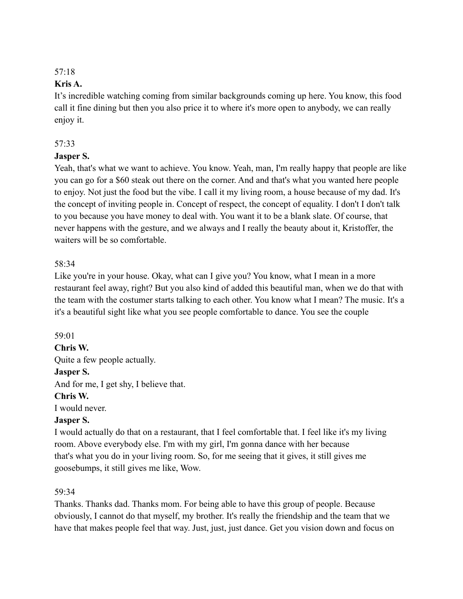#### **Kris A.**

It's incredible watching coming from similar backgrounds coming up here. You know, this food call it fine dining but then you also price it to where it's more open to anybody, we can really enjoy it.

# 57:33

#### **Jasper S.**

Yeah, that's what we want to achieve. You know. Yeah, man, I'm really happy that people are like you can go for a \$60 steak out there on the corner. And and that's what you wanted here people to enjoy. Not just the food but the vibe. I call it my living room, a house because of my dad. It's the concept of inviting people in. Concept of respect, the concept of equality. I don't I don't talk to you because you have money to deal with. You want it to be a blank slate. Of course, that never happens with the gesture, and we always and I really the beauty about it, Kristoffer, the waiters will be so comfortable.

#### 58:34

Like you're in your house. Okay, what can I give you? You know, what I mean in a more restaurant feel away, right? But you also kind of added this beautiful man, when we do that with the team with the costumer starts talking to each other. You know what I mean? The music. It's a it's a beautiful sight like what you see people comfortable to dance. You see the couple

#### 59:01

#### **Chris W.**

Quite a few people actually.

# **Jasper S.**

And for me, I get shy, I believe that.

#### **Chris W.**

I would never.

# **Jasper S.**

I would actually do that on a restaurant, that I feel comfortable that. I feel like it's my living room. Above everybody else. I'm with my girl, I'm gonna dance with her because that's what you do in your living room. So, for me seeing that it gives, it still gives me goosebumps, it still gives me like, Wow.

#### 59:34

Thanks. Thanks dad. Thanks mom. For being able to have this group of people. Because obviously, I cannot do that myself, my brother. It's really the friendship and the team that we have that makes people feel that way. Just, just, just dance. Get you vision down and focus on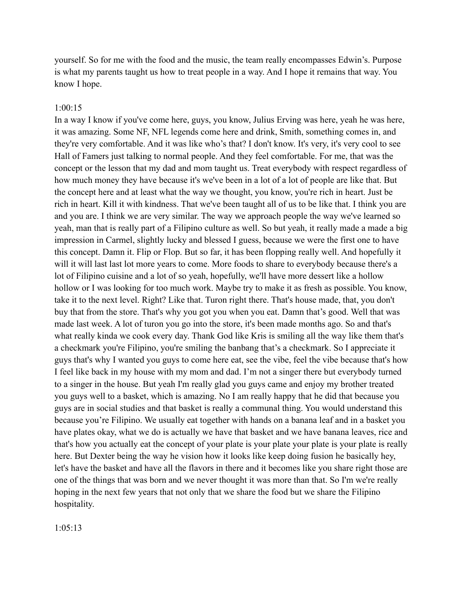yourself. So for me with the food and the music, the team really encompasses Edwin's. Purpose is what my parents taught us how to treat people in a way. And I hope it remains that way. You know I hope.

#### 1:00:15

In a way I know if you've come here, guys, you know, Julius Erving was here, yeah he was here, it was amazing. Some NF, NFL legends come here and drink, Smith, something comes in, and they're very comfortable. And it was like who's that? I don't know. It's very, it's very cool to see Hall of Famers just talking to normal people. And they feel comfortable. For me, that was the concept or the lesson that my dad and mom taught us. Treat everybody with respect regardless of how much money they have because it's we've been in a lot of a lot of people are like that. But the concept here and at least what the way we thought, you know, you're rich in heart. Just be rich in heart. Kill it with kindness. That we've been taught all of us to be like that. I think you are and you are. I think we are very similar. The way we approach people the way we've learned so yeah, man that is really part of a Filipino culture as well. So but yeah, it really made a made a big impression in Carmel, slightly lucky and blessed I guess, because we were the first one to have this concept. Damn it. Flip or Flop. But so far, it has been flopping really well. And hopefully it will it will last last lot more years to come. More foods to share to everybody because there's a lot of Filipino cuisine and a lot of so yeah, hopefully, we'll have more dessert like a hollow hollow or I was looking for too much work. Maybe try to make it as fresh as possible. You know, take it to the next level. Right? Like that. Turon right there. That's house made, that, you don't buy that from the store. That's why you got you when you eat. Damn that's good. Well that was made last week. A lot of turon you go into the store, it's been made months ago. So and that's what really kinda we cook every day. Thank God like Kris is smiling all the way like them that's a checkmark you're Filipino, you're smiling the banbang that's a checkmark. So I appreciate it guys that's why I wanted you guys to come here eat, see the vibe, feel the vibe because that's how I feel like back in my house with my mom and dad. I'm not a singer there but everybody turned to a singer in the house. But yeah I'm really glad you guys came and enjoy my brother treated you guys well to a basket, which is amazing. No I am really happy that he did that because you guys are in social studies and that basket is really a communal thing. You would understand this because you're Filipino. We usually eat together with hands on a banana leaf and in a basket you have plates okay, what we do is actually we have that basket and we have banana leaves, rice and that's how you actually eat the concept of your plate is your plate your plate is your plate is really here. But Dexter being the way he vision how it looks like keep doing fusion he basically hey, let's have the basket and have all the flavors in there and it becomes like you share right those are one of the things that was born and we never thought it was more than that. So I'm we're really hoping in the next few years that not only that we share the food but we share the Filipino hospitality.

1:05:13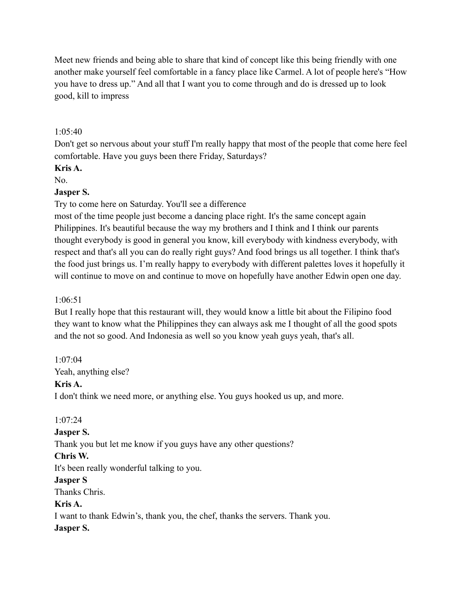Meet new friends and being able to share that kind of concept like this being friendly with one another make yourself feel comfortable in a fancy place like Carmel. A lot of people here's "How you have to dress up." And all that I want you to come through and do is dressed up to look good, kill to impress

 $1.05:40$ 

Don't get so nervous about your stuff I'm really happy that most of the people that come here feel comfortable. Have you guys been there Friday, Saturdays?

# **Kris A.**

No.

# **Jasper S.**

Try to come here on Saturday. You'll see a difference

most of the time people just become a dancing place right. It's the same concept again Philippines. It's beautiful because the way my brothers and I think and I think our parents thought everybody is good in general you know, kill everybody with kindness everybody, with respect and that's all you can do really right guys? And food brings us all together. I think that's the food just brings us. I'm really happy to everybody with different palettes loves it hopefully it will continue to move on and continue to move on hopefully have another Edwin open one day.

# 1:06:51

But I really hope that this restaurant will, they would know a little bit about the Filipino food they want to know what the Philippines they can always ask me I thought of all the good spots and the not so good. And Indonesia as well so you know yeah guys yeah, that's all.

# 1:07:04

Yeah, anything else?

# **Kris A.**

I don't think we need more, or anything else. You guys hooked us up, and more.

# 1:07:24

# **Jasper S.**

Thank you but let me know if you guys have any other questions?

# **Chris W.**

It's been really wonderful talking to you.

# **Jasper S**

Thanks Chris.

# **Kris A.**

I want to thank Edwin's, thank you, the chef, thanks the servers. Thank you. **Jasper S.**